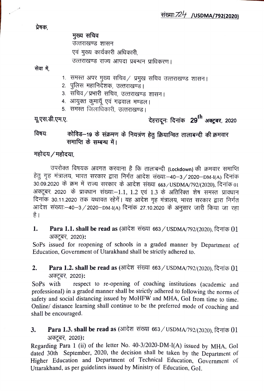प्रेषक.

मुख्य सचिव उत्तराखण्ड शासन एवं मुख्य कार्यकारी अधिकारी, उत्तराखण्ड राज्य आपदा प्रबन्धन प्राधिकरण।

सेवा में,

- 1. समस्त अपर मुख्य सचिव/ प्रमुख सचिव उत्तराखण्ड शासन।
- 2. पुलिस महानिर्देशक, उत्तराखण्ड।
- 3. संचिव ⁄ प्रभारी सचिव, उत्तराखण्ड शासन।<br>4. आयुक्त कुमायूॅ एवं गढ़वाल मण्डल।
- 
- 5. समस्त जिलाधिकारी, उत्तराखण्ड।

यू.एस.डी.एम.ए.

## देहरादूनः दिनांक  $\,$  29 $^{\rm th}$  अक्टूबर, 2020

कोविड-19 के संक्रमण के नियत्रंण हेतु क्रियान्वित तालाबन्दी की क्रमवार विषयः समाप्ति के सम्बन्ध में।

महोदय $/$ महोदया,

उपरोक्त विषयक अवगत करवाना है कि तालाबन्दी (Lockdown) की क्रमवार समाप्ति हेतु गृह मंत्रालय, भारत सरकार द्वारा निर्गत आदेश संख्याः–40–3/2020–DM-I(A) दिनांक<br>30.09.2020 के क्रम में राज्य सरकार के आदेश संख्या 663/USDMA/792/(2020), दिनांक 01 अक्टूबर, 2020) के प्रावधान संख्याः–1.1, 1.2 एवं 1.3 के अतिरिक्त शेष समस्त प्रावधान<br>दिनांक 30.11.2020 तक यथावत रहेगें। यह आदेश गृह मंत्रालय, भारत सरकार द्वारा निर्गत आदेश संख्याः–40–3/2020–DM-I(A) दिनांक 27.10.2020 के अनुसार जारी किया जा रहा<br>है।

1. Para 1.1. shall be read as (आदेश संख्या 663 / USDMA/792/(2020), दिनांक 01 अक्टूबर, 2020):

SoPs issued for reopening of schools in a graded manner by Department of Education, Government of Utarakhand shall be strictly adhered to.

## Para 1.2. shall be read as (आदेश संख्या 663 / USDMA/792/(2020), दिनांक 01 37Ea, 2020): 2.

SoPs with respect to re-opening of coaching institutions (academic and professional) in a graded manner shall be strictly adhered to following the norms of safety and social distancing issued by MoHFW and MHA, GoI from time to time. Online/ distance learning shall continue to be the preferred mode of coaching and shall be encouraged.

3. Para 1.3. shall be read as (आदेश संख्या 663 / USDMA/792/(2020), दिनांक 01 अक्टूबर, 2020)**:** 

Regarding Para 1 (ii) of the letter No. 40-3/2020-DM-(A) issued by MHA, Gol dated 30th September, 2020, the decision shall be taken by the Department of Higher Education and Department of Technical Education, Government of Utarakhand, as per guidelines issued by Ministry of Education, Gol.